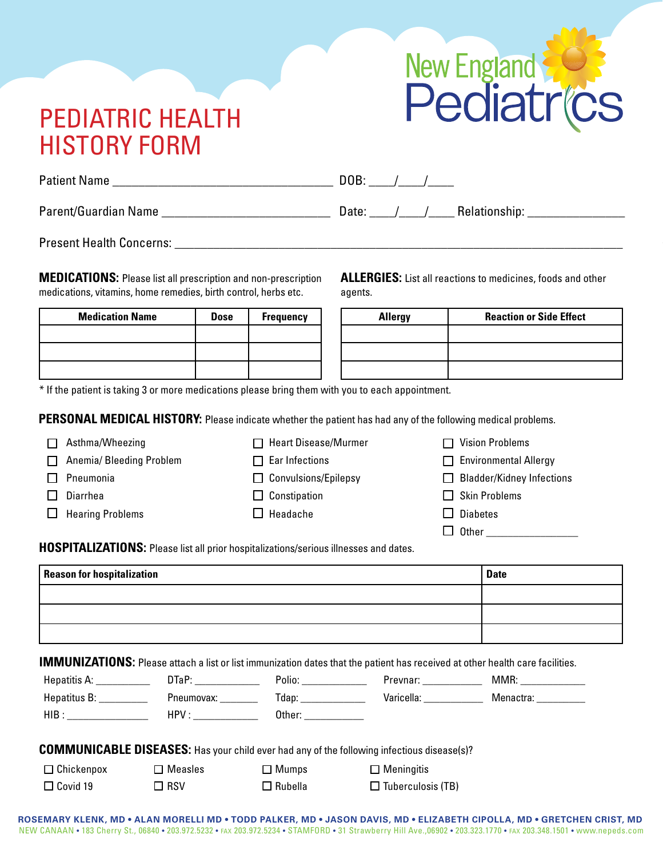## PEDIATRIC HEALTH HISTORY FORM



| <b>Patient Name</b>  | DOB:                   |
|----------------------|------------------------|
| Parent/Guardian Name | Relationship:<br>Date: |

Present Health Concerns:

**MEDICATIONS:** Please list all prescription and non-prescription medications, vitamins, home remedies, birth control, herbs etc.

**ALLERGIES:** List all reactions to medicines, foods and other agents.

| <b>Medication Name</b> | <b>Dose</b> | <b>Frequency</b> |  |
|------------------------|-------------|------------------|--|
|                        |             |                  |  |
|                        |             |                  |  |
|                        |             |                  |  |

**Allergy Reaction or Side Effect** 

\* If the patient is taking 3 or more medications please bring them with you to each appointment.

**PERSONAL MEDICAL HISTORY:** Please indicate whether the patient has had any of the following medical problems.

| Asthma/Wheezing          | $\Box$ Heart Disease/Murmer | $\Box$ Vision Problems           |
|--------------------------|-----------------------------|----------------------------------|
| Anemia/ Bleeding Problem | $\Box$ Ear Infections       | $\Box$ Environmental Allergy     |
| Pneumonia                | $\Box$ Convulsions/Epilepsy | $\Box$ Bladder/Kidney Infections |
| Diarrhea                 | $\Box$ Constipation         | $\Box$ Skin Problems             |
| <b>Hearing Problems</b>  | $\Box$ Headache             | <b>Diabetes</b><br>l 1           |
|                          |                             | Other                            |

**HOSPITALIZATIONS:** Please list all prior hospitalizations/serious illnesses and dates.

| <b>Reason for hospitalization</b> | Date |
|-----------------------------------|------|
|                                   |      |
|                                   |      |
|                                   |      |

**IMMUNIZATIONS:** Please attach a list or list immunization dates that the patient has received at other health care facilities.

| Hepatitis A: | JTaP∙      | Polio: | Prevnar:   | MMR:      |
|--------------|------------|--------|------------|-----------|
| Hepatitus B: | Pneumovax: | Tdap:  | Varicella: | Menactra: |
| $HIB$ :      | HPV ·      | Other: |            |           |

**COMMUNICABLE DISEASES:** Has your child ever had any of the following infectious disease(s)?

| Chickenpox | $\Box$ Measles |
|------------|----------------|
|------------|----------------|

□ Covid 19

 $\Box$ 

- $\Box$  RSV
- □ Mumps  $\Box$  Rubella

| $\Box$ Meningitis        |
|--------------------------|
| $\Box$ Tuberculosis (TB) |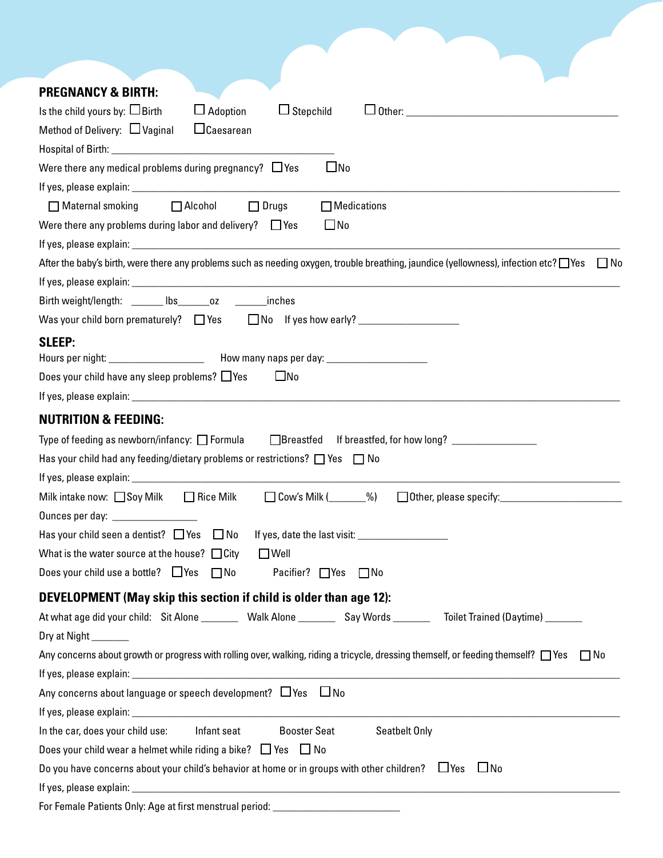| <b>PREGNANCY &amp; BIRTH:</b>                                                                                                                     |
|---------------------------------------------------------------------------------------------------------------------------------------------------|
| Is the child yours by: $\Box$ Birth<br>$\Box$ Adoption<br>$\Box$ Stepchild<br>$\Box$ Other:                                                       |
| Method of Delivery: $\Box$ Vaginal<br>$\Box$ Caesarean                                                                                            |
| Hospital of Birth: New York Contract to the United States of Birth:                                                                               |
| $\square$ No<br>Were there any medical problems during pregnancy? $\Box$ Yes                                                                      |
|                                                                                                                                                   |
| ■ Maternal smoking ■ Alcohol<br>$\Box$ Medications<br>$\Box$ Drugs                                                                                |
| $\square$ No<br>Were there any problems during labor and delivery? $\Box$ Yes                                                                     |
|                                                                                                                                                   |
| After the baby's birth, were there any problems such as needing oxygen, trouble breathing, jaundice (yellowness), infection etc? □ Yes<br>l INo   |
|                                                                                                                                                   |
| Birth weight/length: _______ lbs_______oz __________ inches                                                                                       |
|                                                                                                                                                   |
| <b>SLEEP:</b>                                                                                                                                     |
|                                                                                                                                                   |
| Does your child have any sleep problems? $\Box$ Yes<br>$\Box$ No                                                                                  |
|                                                                                                                                                   |
| <b>NUTRITION &amp; FEEDING:</b>                                                                                                                   |
| Type of feeding as newborn/infancy: $\Box$ Formula                                                                                                |
| Has your child had any feeding/dietary problems or restrictions? $\Box$ Yes $\Box$ No                                                             |
|                                                                                                                                                   |
| $\Box$ Cow's Milk ( $\Box$ %)<br>$\Box$ Rice Milk<br>Other, please specify:<br>Milk intake now: □ Soy Milk                                        |
|                                                                                                                                                   |
| Has your child seen a dentist? $\Box$ Yes $\Box$ No                                                                                               |
| What is the water source at the house? $\Box$ City<br>$\Box$ Well                                                                                 |
| Does your child use a bottle? $\Box$ Yes $\Box$ No<br>Pacifier? □ Yes □ No                                                                        |
|                                                                                                                                                   |
| <b>DEVELOPMENT (May skip this section if child is older than age 12):</b>                                                                         |
| At what age did your child: Sit Alone _______ Walk Alone _______ Say Words ______ Toilet Trained (Daytime) ______                                 |
| Dry at Night _______                                                                                                                              |
| Any concerns about growth or progress with rolling over, walking, riding a tricycle, dressing themself, or feeding themself? $\Box$ Yes $\Box$ No |
|                                                                                                                                                   |
| Any concerns about language or speech development? ∐Yes ∐No                                                                                       |
|                                                                                                                                                   |
| <b>Booster Seat</b><br>In the car, does your child use: Infant seat<br>Seatbelt Only                                                              |
| Does your child wear a helmet while riding a bike? $\Box$ Yes $\Box$ No                                                                           |
| Do you have concerns about your child's behavior at home or in groups with other children? $\Box$ Yes $\Box$ No                                   |
|                                                                                                                                                   |

|  |  |  | For Female Patients Only: Age at first menstrual period: |  |
|--|--|--|----------------------------------------------------------|--|
|  |  |  |                                                          |  |